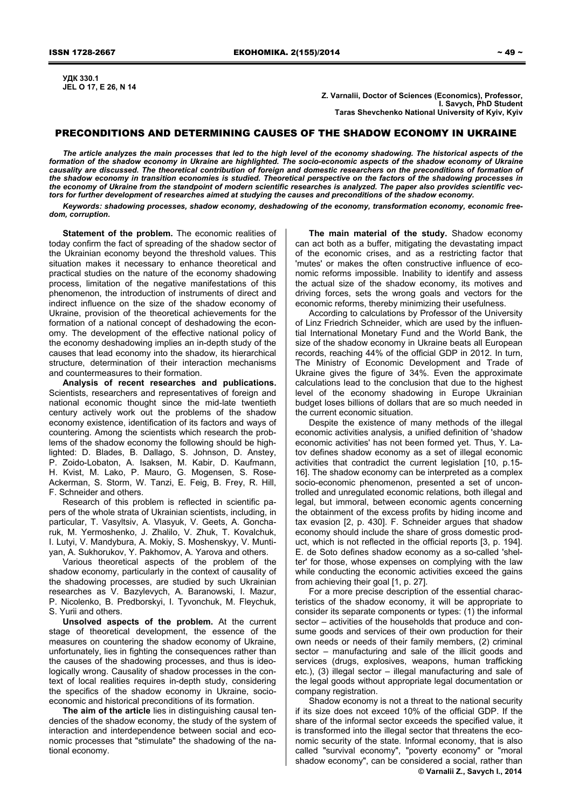**ɍȾɄ 330.1 JEL O 17, E 26, N 14** 

**Z. Varnalii, Doctor of Sciences (Economics), Professor, I. Savych, PhD Student Taras Shevchenko National University of Kyiv, Kyiv** 

# PRECONDITIONS AND DETERMINING CAUSES OF THE SHADOW ECONOMY IN UKRAINE

*The article analyzes the main processes that led to the high level of the economy shadowing. The historical aspects of the formation of the shadow economy in Ukraine are highlighted. The socio-economic aspects of the shadow economy of Ukraine causality are discussed. The theoretical contribution of foreign and domestic researchers on the preconditions of formation of the shadow economy in transition economies is studied. Theoretical perspective on the factors of the shadowing processes in the economy of Ukraine from the standpoint of modern scientific researches is analyzed. The paper also provides scientific vectors for further development of researches aimed at studying the causes and preconditions of the shadow economy.* 

*Keywords: shadowing processes, shadow economy, deshadowing of the economy, transformation economy, economic freedom, corruption.* 

**Statement of the problem.** The economic realities of today confirm the fact of spreading of the shadow sector of the Ukrainian economy beyond the threshold values. This situation makes it necessary to enhance theoretical and practical studies on the nature of the economy shadowing process, limitation of the negative manifestations of this phenomenon, the introduction of instruments of direct and indirect influence on the size of the shadow economy of Ukraine, provision of the theoretical achievements for the formation of a national concept of deshadowing the economy. The development of the effective national policy of the economy deshadowing implies an in-depth study of the causes that lead economy into the shadow, its hierarchical structure, determination of their interaction mechanisms and countermeasures to their formation.

**Analysis of recent researches and publications.**  Scientists, researchers and representatives of foreign and national economic thought since the mid-late twentieth century actively work out the problems of the shadow economy existence, identification of its factors and ways of countering. Among the scientists which research the problems of the shadow economy the following should be highlighted: D. Blades, B. Dallago, S. Johnson, D. Anstey, P. Zoido-Lobaton, A. Isaksen, M. Kabir, D. Kaufmann, H. Kvist, M. Lako, P. Mauro, G. Mogensen, S. Rose-Ackerman, S. Storm, W. Tanzi, E. Feig, B. Frey, R. Hill, F. Schneider and others.

Research of this problem is reflected in scientific papers of the whole strata of Ukrainian scientists, including, in particular, T. Vasyltsiv, A. Vlasyuk, V. Geets, A. Goncharuk, M. Yermoshenko, J. Zhalilo, V. Zhuk, T. Kovalchuk, I. Lutyi, V. Mandybura, A. Mokiy, S. Moshenskyy, V. Muntiyan, A. Sukhorukov, Y. Pakhomov, A. Yarova and others.

Various theoretical aspects of the problem of the shadow economy, particularly in the context of causality of the shadowing processes, are studied by such Ukrainian researches as V. Bazylevych, A. Baranowski, I. Mazur, P. Nicolenko, B. Predborskyi, I. Tyvonchuk, M. Fleychuk, S. Yurii and others.

**Unsolved aspects of the problem.** At the current stage of theoretical development, the essence of the measures on countering the shadow economy of Ukraine, unfortunately, lies in fighting the consequences rather than the causes of the shadowing processes, and thus is ideologically wrong. Causality of shadow processes in the context of local realities requires in-depth study, considering the specifics of the shadow economy in Ukraine, socioeconomic and historical preconditions of its formation.

**The aim of the article** lies in distinguishing causal tendencies of the shadow economy, the study of the system of interaction and interdependence between social and economic processes that "stimulate" the shadowing of the national economy.

**The main material of the study.** Shadow economy can act both as a buffer, mitigating the devastating impact of the economic crises, and as a restricting factor that 'mutes' or makes the often constructive influence of economic reforms impossible. Inability to identify and assess the actual size of the shadow economy, its motives and driving forces, sets the wrong goals and vectors for the economic reforms, thereby minimizing their usefulness.

According to calculations by Professor of the University of Linz Friedrich Schneider, which are used by the influential International Monetary Fund and the World Bank, the size of the shadow economy in Ukraine beats all European records, reaching 44% of the official GDP in 2012. In turn, The Ministry of Economic Development and Trade of Ukraine gives the figure of 34%. Even the approximate calculations lead to the conclusion that due to the highest level of the economy shadowing in Europe Ukrainian budget loses billions of dollars that are so much needed in the current economic situation.

Despite the existence of many methods of the illegal economic activities analysis, a unified definition of 'shadow economic activities' has not been formed yet. Thus, Y. Latov defines shadow economy as a set of illegal economic activities that contradict the current legislation [10, p.15- 16]. The shadow economy can be interpreted as a complex socio-economic phenomenon, presented a set of uncontrolled and unregulated economic relations, both illegal and legal, but immoral, between economic agents concerning the obtainment of the excess profits by hiding income and tax evasion [2, p. 430]. F. Schneider argues that shadow economy should include the share of gross domestic product, which is not reflected in the official reports [3, p. 194]. E. de Soto defines shadow economy as a so-called 'shelter' for those, whose expenses on complying with the law while conducting the economic activities exceed the gains from achieving their goal [1, p. 27].

For a more precise description of the essential characteristics of the shadow economy, it will be appropriate to consider its separate components or types: (1) the informal sector – activities of the households that produce and consume goods and services of their own production for their own needs or needs of their family members, (2) criminal sector – manufacturing and sale of the illicit goods and services (drugs, explosives, weapons, human trafficking etc.), (3) illegal sector – illegal manufacturing and sale of the legal goods without appropriate legal documentation or company registration.

Shadow economy is not a threat to the national security if its size does not exceed 10% of the official GDP. If the share of the informal sector exceeds the specified value, it is transformed into the illegal sector that threatens the economic security of the state. Informal economy, that is also called "survival economy", "poverty economy" or "moral shadow economy", can be considered a social, rather than **© Varnalii Z., Savych I., 2014**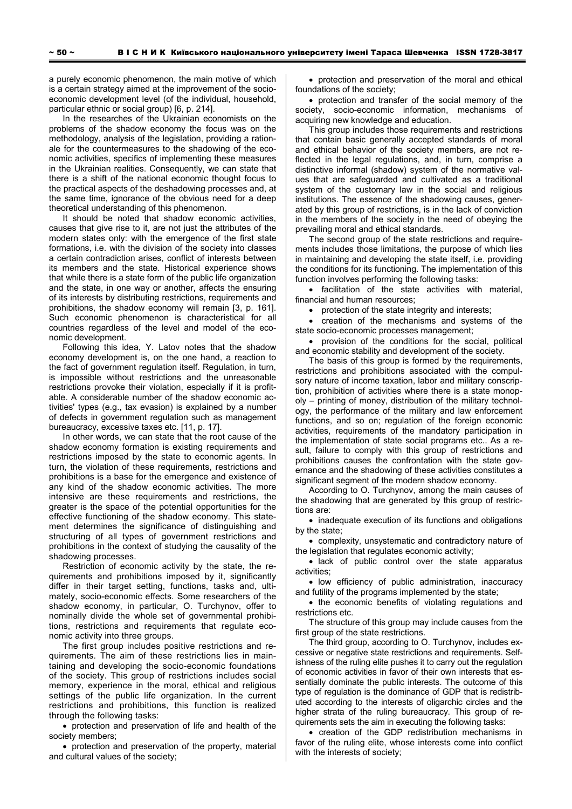a purely economic phenomenon, the main motive of which is a certain strategy aimed at the improvement of the socioeconomic development level (of the individual, household, particular ethnic or social group) [6, p. 214].

In the researches of the Ukrainian economists on the problems of the shadow economy the focus was on the methodology, analysis of the legislation, providing a rationale for the countermeasures to the shadowing of the economic activities, specifics of implementing these measures in the Ukrainian realities. Consequently, we can state that there is a shift of the national economic thought focus to the practical aspects of the deshadowing processes and, at the same time, ignorance of the obvious need for a deep theoretical understanding of this phenomenon.

It should be noted that shadow economic activities, causes that give rise to it, are not just the attributes of the modern states only: with the emergence of the first state formations, i.e. with the division of the society into classes a certain contradiction arises, conflict of interests between its members and the state. Historical experience shows that while there is a state form of the public life organization and the state, in one way or another, affects the ensuring of its interests by distributing restrictions, requirements and prohibitions, the shadow economy will remain [3, p. 161]. Such economic phenomenon is characteristical for all countries regardless of the level and model of the economic development.

Following this idea, Y. Latov notes that the shadow economy development is, on the one hand, a reaction to the fact of government regulation itself. Regulation, in turn, is impossible without restrictions and the unreasonable restrictions provoke their violation, especially if it is profitable. A considerable number of the shadow economic activities' types (e.g., tax evasion) is explained by a number of defects in government regulation such as management bureaucracy, excessive taxes etc. [11, p. 17].

In other words, we can state that the root cause of the shadow economy formation is existing requirements and restrictions imposed by the state to economic agents. In turn, the violation of these requirements, restrictions and prohibitions is a base for the emergence and existence of any kind of the shadow economic activities. The more intensive are these requirements and restrictions, the greater is the space of the potential opportunities for the effective functioning of the shadow economy. This statement determines the significance of distinguishing and structuring of all types of government restrictions and prohibitions in the context of studying the causality of the shadowing processes.

Restriction of economic activity by the state, the requirements and prohibitions imposed by it, significantly differ in their target setting, functions, tasks and, ultimately, socio-economic effects. Some researchers of the shadow economy, in particular, O. Turchynov, offer to nominally divide the whole set of governmental prohibitions, restrictions and requirements that regulate economic activity into three groups.

The first group includes positive restrictions and requirements. The aim of these restrictions lies in maintaining and developing the socio-economic foundations of the society. This group of restrictions includes social memory, experience in the moral, ethical and religious settings of the public life organization. In the current restrictions and prohibitions, this function is realized through the following tasks:

• protection and preservation of life and health of the society members;

• protection and preservation of the property, material and cultural values of the society;

• protection and preservation of the moral and ethical foundations of the society;

• protection and transfer of the social memory of the society, socio-economic information, mechanisms of acquiring new knowledge and education.

This group includes those requirements and restrictions that contain basic generally accepted standards of moral and ethical behavior of the society members, are not reflected in the legal regulations, and, in turn, comprise a distinctive informal (shadow) system of the normative values that are safeguarded and cultivated as a traditional system of the customary law in the social and religious institutions. The essence of the shadowing causes, generated by this group of restrictions, is in the lack of conviction in the members of the society in the need of obeying the prevailing moral and ethical standards.

The second group of the state restrictions and requirements includes those limitations, the purpose of which lies in maintaining and developing the state itself, i.e. providing the conditions for its functioning. The implementation of this function involves performing the following tasks:

• facilitation of the state activities with material, financial and human resources;

• protection of the state integrity and interests;

• creation of the mechanisms and systems of the state socio-economic processes management;

• provision of the conditions for the social, political and economic stability and development of the society.

The basis of this group is formed by the requirements, restrictions and prohibitions associated with the compulsory nature of income taxation, labor and military conscription, prohibition of activities where there is a state monopoly – printing of money, distribution of the military technology, the performance of the military and law enforcement functions, and so on; regulation of the foreign economic activities, requirements of the mandatory participation in the implementation of state social programs etc.. As a result, failure to comply with this group of restrictions and prohibitions causes the confrontation with the state governance and the shadowing of these activities constitutes a significant segment of the modern shadow economy.

According to O. Turchynov, among the main causes of the shadowing that are generated by this group of restrictions are:

• inadequate execution of its functions and obligations by the state;

• complexity, unsystematic and contradictory nature of the legislation that regulates economic activity;

• lack of public control over the state apparatus activities;

• low efficiency of public administration, inaccuracy and futility of the programs implemented by the state;

• the economic benefits of violating regulations and restrictions etc.

The structure of this group may include causes from the first group of the state restrictions.

The third group, according to O. Turchynov, includes excessive or negative state restrictions and requirements. Selfishness of the ruling elite pushes it to carry out the regulation of economic activities in favor of their own interests that essentially dominate the public interests. The outcome of this type of regulation is the dominance of GDP that is redistributed according to the interests of oligarchic circles and the higher strata of the ruling bureaucracy. This group of requirements sets the aim in executing the following tasks:

• creation of the GDP redistribution mechanisms in favor of the ruling elite, whose interests come into conflict with the interests of society;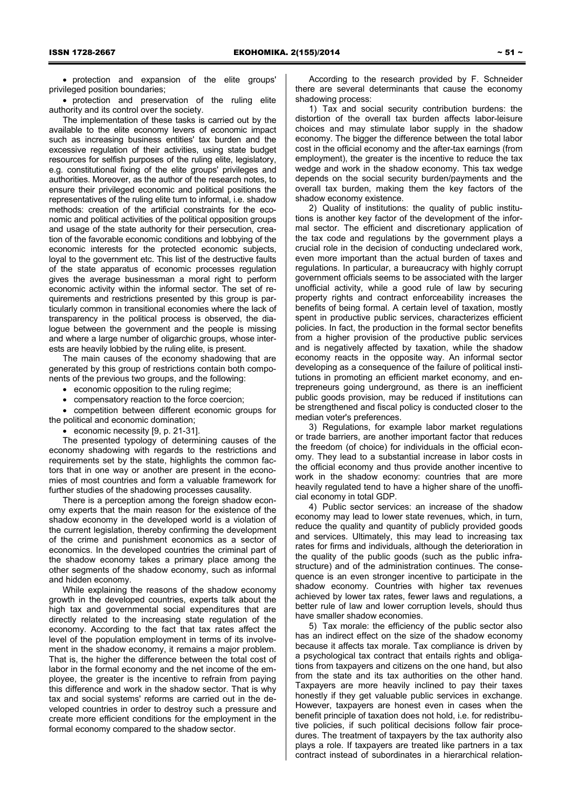• protection and expansion of the elite groups' privileged position boundaries;

• protection and preservation of the ruling elite authority and its control over the society.

The implementation of these tasks is carried out by the available to the elite economy levers of economic impact such as increasing business entities' tax burden and the excessive regulation of their activities, using state budget resources for selfish purposes of the ruling elite, legislatory, e.g. constitutional fixing of the elite groups' privileges and authorities. Moreover, as the author of the research notes, to ensure their privileged economic and political positions the representatives of the ruling elite turn to informal, i.e. shadow methods: creation of the artificial constraints for the economic and political activities of the political opposition groups and usage of the state authority for their persecution, creation of the favorable economic conditions and lobbying of the economic interests for the protected economic subjects, loyal to the government etc. This list of the destructive faults of the state apparatus of economic processes regulation gives the average businessman a moral right to perform economic activity within the informal sector. The set of requirements and restrictions presented by this group is particularly common in transitional economies where the lack of transparency in the political process is observed, the dialogue between the government and the people is missing and where a large number of oligarchic groups, whose interests are heavily lobbied by the ruling elite, is present.

The main causes of the economy shadowing that are generated by this group of restrictions contain both components of the previous two groups, and the following:

• economic opposition to the ruling regime;

• compensatory reaction to the force coercion;

• competition between different economic groups for the political and economic domination;

economic necessity [9, p. 21-31].

The presented typology of determining causes of the economy shadowing with regards to the restrictions and requirements set by the state, highlights the common factors that in one way or another are present in the economies of most countries and form a valuable framework for further studies of the shadowing processes causality.

There is a perception among the foreign shadow economy experts that the main reason for the existence of the shadow economy in the developed world is a violation of the current legislation, thereby confirming the development of the crime and punishment economics as a sector of economics. In the developed countries the criminal part of the shadow economy takes a primary place among the other segments of the shadow economy, such as informal and hidden economy.

While explaining the reasons of the shadow economy growth in the developed countries, experts talk about the high tax and governmental social expenditures that are directly related to the increasing state regulation of the economy. According to the fact that tax rates affect the level of the population employment in terms of its involvement in the shadow economy, it remains a major problem. That is, the higher the difference between the total cost of labor in the formal economy and the net income of the employee, the greater is the incentive to refrain from paying this difference and work in the shadow sector. That is why tax and social systems' reforms are carried out in the developed countries in order to destroy such a pressure and create more efficient conditions for the employment in the formal economy compared to the shadow sector.

According to the research provided by F. Schneider there are several determinants that cause the economy shadowing process:

1) Tax and social security contribution burdens: the distortion of the overall tax burden affects labor-leisure choices and may stimulate labor supply in the shadow economy. The bigger the difference between the total labor cost in the official economy and the after-tax earnings (from employment), the greater is the incentive to reduce the tax wedge and work in the shadow economy. This tax wedge depends on the social security burden/payments and the overall tax burden, making them the key factors of the shadow economy existence.

2) Quality of institutions: the quality of public institutions is another key factor of the development of the informal sector. The efficient and discretionary application of the tax code and regulations by the government plays a crucial role in the decision of conducting undeclared work, even more important than the actual burden of taxes and regulations. In particular, a bureaucracy with highly corrupt government officials seems to be associated with the larger unofficial activity, while a good rule of law by securing property rights and contract enforceability increases the benefits of being formal. A certain level of taxation, mostly spent in productive public services, characterizes efficient policies. In fact, the production in the formal sector benefits from a higher provision of the productive public services and is negatively affected by taxation, while the shadow economy reacts in the opposite way. An informal sector developing as a consequence of the failure of political institutions in promoting an efficient market economy, and entrepreneurs going underground, as there is an inefficient public goods provision, may be reduced if institutions can be strengthened and fiscal policy is conducted closer to the median voter's preferences.

3) Regulations, for example labor market regulations or trade barriers, are another important factor that reduces the freedom (of choice) for individuals in the official economy. They lead to a substantial increase in labor costs in the official economy and thus provide another incentive to work in the shadow economy: countries that are more heavily regulated tend to have a higher share of the unofficial economy in total GDP.

4) Public sector services: an increase of the shadow economy may lead to lower state revenues, which, in turn, reduce the quality and quantity of publicly provided goods and services. Ultimately, this may lead to increasing tax rates for firms and individuals, although the deterioration in the quality of the public goods (such as the public infrastructure) and of the administration continues. The consequence is an even stronger incentive to participate in the shadow economy. Countries with higher tax revenues achieved by lower tax rates, fewer laws and regulations, a better rule of law and lower corruption levels, should thus have smaller shadow economies.

5) Tax morale: the efficiency of the public sector also has an indirect effect on the size of the shadow economy because it affects tax morale. Tax compliance is driven by a psychological tax contract that entails rights and obligations from taxpayers and citizens on the one hand, but also from the state and its tax authorities on the other hand. Taxpayers are more heavily inclined to pay their taxes honestly if they get valuable public services in exchange. However, taxpayers are honest even in cases when the benefit principle of taxation does not hold, i.e. for redistributive policies, if such political decisions follow fair procedures. The treatment of taxpayers by the tax authority also plays a role. If taxpayers are treated like partners in a tax contract instead of subordinates in a hierarchical relation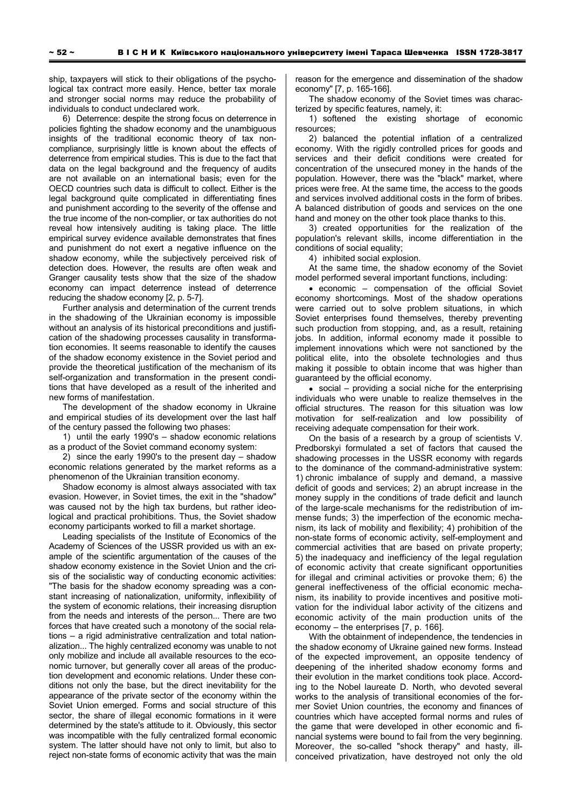ship, taxpayers will stick to their obligations of the psychological tax contract more easily. Hence, better tax morale and stronger social norms may reduce the probability of individuals to conduct undeclared work.

6) Deterrence: despite the strong focus on deterrence in policies fighting the shadow economy and the unambiguous insights of the traditional economic theory of tax noncompliance, surprisingly little is known about the effects of deterrence from empirical studies. This is due to the fact that data on the legal background and the frequency of audits are not available on an international basis; even for the OECD countries such data is difficult to collect. Either is the legal background quite complicated in differentiating fines and punishment according to the severity of the offense and the true income of the non-complier, or tax authorities do not reveal how intensively auditing is taking place. The little empirical survey evidence available demonstrates that fines and punishment do not exert a negative influence on the shadow economy, while the subjectively perceived risk of detection does. However, the results are often weak and Granger causality tests show that the size of the shadow economy can impact deterrence instead of deterrence reducing the shadow economy [2, p. 5-7].

Further analysis and determination of the current trends in the shadowing of the Ukrainian economy is impossible without an analysis of its historical preconditions and justification of the shadowing processes causality in transformation economies. It seems reasonable to identify the causes of the shadow economy existence in the Soviet period and provide the theoretical justification of the mechanism of its self-organization and transformation in the present conditions that have developed as a result of the inherited and new forms of manifestation.

The development of the shadow economy in Ukraine and empirical studies of its development over the last half of the century passed the following two phases:

1) until the early 1990's – shadow economic relations as a product of the Soviet command economy system:

2) since the early 1990's to the present day – shadow economic relations generated by the market reforms as a phenomenon of the Ukrainian transition economy.

Shadow economy is almost always associated with tax evasion. However, in Soviet times, the exit in the "shadow" was caused not by the high tax burdens, but rather ideological and practical prohibitions. Thus, the Soviet shadow economy participants worked to fill a market shortage.

Leading specialists of the Institute of Economics of the Academy of Sciences of the USSR provided us with an example of the scientific argumentation of the causes of the shadow economy existence in the Soviet Union and the crisis of the socialistic way of conducting economic activities: "The basis for the shadow economy spreading was a constant increasing of nationalization, uniformity, inflexibility of the system of economic relations, their increasing disruption from the needs and interests of the person... There are two forces that have created such a monotony of the social relations – a rigid administrative centralization and total nationalization... The highly centralized economy was unable to not only mobilize and include all available resources to the economic turnover, but generally cover all areas of the production development and economic relations. Under these conditions not only the base, but the direct inevitability for the appearance of the private sector of the economy within the Soviet Union emerged. Forms and social structure of this sector, the share of illegal economic formations in it were determined by the state's attitude to it. Obviously, this sector was incompatible with the fully centralized formal economic system. The latter should have not only to limit, but also to reject non-state forms of economic activity that was the main

reason for the emergence and dissemination of the shadow economy" [7, p. 165-166].

The shadow economy of the Soviet times was characterized by specific features, namely, it:

1) softened the existing shortage of economic resources;

2) balanced the potential inflation of a centralized economy. With the rigidly controlled prices for goods and services and their deficit conditions were created for concentration of the unsecured money in the hands of the population. However, there was the "black" market, where prices were free. At the same time, the access to the goods and services involved additional costs in the form of bribes. A balanced distribution of goods and services on the one hand and money on the other took place thanks to this.

3) created opportunities for the realization of the population's relevant skills, income differentiation in the conditions of social equality;

4) inhibited social explosion.

At the same time, the shadow economy of the Soviet model performed several important functions, including:

 $\bullet$  economic – compensation of the official Soviet economy shortcomings. Most of the shadow operations were carried out to solve problem situations, in which Soviet enterprises found themselves, thereby preventing such production from stopping, and, as a result, retaining jobs. In addition, informal economy made it possible to implement innovations which were not sanctioned by the political elite, into the obsolete technologies and thus making it possible to obtain income that was higher than guaranteed by the official economy.

 $\bullet$  social – providing a social niche for the enterprising individuals who were unable to realize themselves in the official structures. The reason for this situation was low motivation for self-realization and low possibility of receiving adequate compensation for their work.

On the basis of a research by a group of scientists V. Predborskyi formulated a set of factors that caused the shadowing processes in the USSR economy with regards to the dominance of the command-administrative system: 1) chronic imbalance of supply and demand, a massive deficit of goods and services; 2) an abrupt increase in the money supply in the conditions of trade deficit and launch of the large-scale mechanisms for the redistribution of immense funds; 3) the imperfection of the economic mechanism, its lack of mobility and flexibility; 4) prohibition of the non-state forms of economic activity, self-employment and commercial activities that are based on private property; 5) the inadequacy and inefficiency of the legal regulation of economic activity that create significant opportunities for illegal and criminal activities or provoke them; 6) the general ineffectiveness of the official economic mechanism, its inability to provide incentives and positive motivation for the individual labor activity of the citizens and economic activity of the main production units of the economy – the enterprises [7, p. 166].

With the obtainment of independence, the tendencies in the shadow economy of Ukraine gained new forms. Instead of the expected improvement, an opposite tendency of deepening of the inherited shadow economy forms and their evolution in the market conditions took place. According to the Nobel laureate D. North, who devoted several works to the analysis of transitional economies of the former Soviet Union countries, the economy and finances of countries which have accepted formal norms and rules of the game that were developed in other economic and financial systems were bound to fail from the very beginning. Moreover, the so-called "shock therapy" and hasty, illconceived privatization, have destroyed not only the old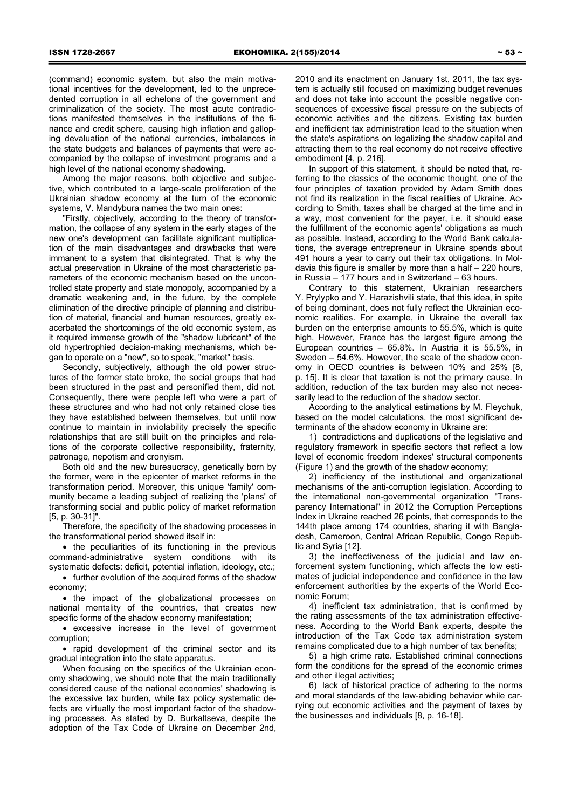(command) economic system, but also the main motivational incentives for the development, led to the unprecedented corruption in all echelons of the government and criminalization of the society. The most acute contradictions manifested themselves in the institutions of the finance and credit sphere, causing high inflation and galloping devaluation of the national currencies, imbalances in the state budgets and balances of payments that were accompanied by the collapse of investment programs and a high level of the national economy shadowing.

Among the major reasons, both objective and subjective, which contributed to a large-scale proliferation of the Ukrainian shadow economy at the turn of the economic systems, V. Mandybura names the two main ones:

"Firstly, objectively, according to the theory of transformation, the collapse of any system in the early stages of the new one's development can facilitate significant multiplication of the main disadvantages and drawbacks that were immanent to a system that disintegrated. That is why the actual preservation in Ukraine of the most characteristic parameters of the economic mechanism based on the uncontrolled state property and state monopoly, accompanied by a dramatic weakening and, in the future, by the complete elimination of the directive principle of planning and distribution of material, financial and human resources, greatly exacerbated the shortcomings of the old economic system, as it required immense growth of the "shadow lubricant" of the old hypertrophied decision-making mechanisms, which began to operate on a "new", so to speak, "market" basis.

Secondly, subjectively, although the old power structures of the former state broke, the social groups that had been structured in the past and personified them, did not. Consequently, there were people left who were a part of these structures and who had not only retained close ties they have established between themselves, but until now continue to maintain in inviolability precisely the specific relationships that are still built on the principles and relations of the corporate collective responsibility, fraternity, patronage, nepotism and cronyism.

Both old and the new bureaucracy, genetically born by the former, were in the epicenter of market reforms in the transformation period. Moreover, this unique 'family' community became a leading subject of realizing the 'plans' of transforming social and public policy of market reformation [5, p. 30-31]".

Therefore, the specificity of the shadowing processes in the transformational period showed itself in:

• the peculiarities of its functioning in the previous command-administrative system conditions with its systematic defects: deficit, potential inflation, ideology, etc.;

• further evolution of the acquired forms of the shadow economy;

• the impact of the globalizational processes on national mentality of the countries, that creates new specific forms of the shadow economy manifestation;

• excessive increase in the level of government corruption;

• rapid development of the criminal sector and its gradual integration into the state apparatus.

When focusing on the specifics of the Ukrainian economy shadowing, we should note that the main traditionally considered cause of the national economies' shadowing is the excessive tax burden, while tax policy systematic defects are virtually the most important factor of the shadowing processes. As stated by D. Burkaltseva, despite the adoption of the Tax Code of Ukraine on December 2nd, 2010 and its enactment on January 1st, 2011, the tax system is actually still focused on maximizing budget revenues and does not take into account the possible negative consequences of excessive fiscal pressure on the subjects of economic activities and the citizens. Existing tax burden and inefficient tax administration lead to the situation when the state's aspirations on legalizing the shadow capital and attracting them to the real economy do not receive effective embodiment [4, p. 216].

In support of this statement, it should be noted that, referring to the classics of the economic thought, one of the four principles of taxation provided by Adam Smith does not find its realization in the fiscal realities of Ukraine. According to Smith, taxes shall be charged at the time and in a way, most convenient for the payer, i.e. it should ease the fulfillment of the economic agents' obligations as much as possible. Instead, according to the World Bank calculations, the average entrepreneur in Ukraine spends about 491 hours a year to carry out their tax obligations. In Moldavia this figure is smaller by more than a half – 220 hours, in Russia – 177 hours and in Switzerland – 63 hours.

Contrary to this statement, Ukrainian researchers Y. Prylypko and Y. Harazishvili state, that this idea, in spite of being dominant, does not fully reflect the Ukrainian economic realities. For example, in Ukraine the overall tax burden on the enterprise amounts to 55.5%, which is quite high. However, France has the largest figure among the European countries – 65.8%. In Austria it is 55.5%, in Sweden – 54.6%. However, the scale of the shadow economy in OECD countries is between 10% and 25% [8, p. 15]. It is clear that taxation is not the primary cause. In addition, reduction of the tax burden may also not necessarily lead to the reduction of the shadow sector.

According to the analytical estimations by M. Fleychuk, based on the model calculations, the most significant determinants of the shadow economy in Ukraine are:

1) contradictions and duplications of the legislative and regulatory framework in specific sectors that reflect a low level of economic freedom indexes' structural components (Figure 1) and the growth of the shadow economy;

2) inefficiency of the institutional and organizational mechanisms of the anti-corruption legislation. According to the international non-governmental organization "Transparency International" in 2012 the Corruption Perceptions Index in Ukraine reached 26 points, that corresponds to the 144th place among 174 countries, sharing it with Bangladesh, Cameroon, Central African Republic, Congo Republic and Syria [12].

3) the ineffectiveness of the judicial and law enforcement system functioning, which affects the low estimates of judicial independence and confidence in the law enforcement authorities by the experts of the World Economic Forum;

4) inefficient tax administration, that is confirmed by the rating assessments of the tax administration effectiveness. According to the World Bank experts, despite the introduction of the Tax Code tax administration system remains complicated due to a high number of tax benefits;

5) a high crime rate. Established criminal connections form the conditions for the spread of the economic crimes and other illegal activities;

6) lack of historical practice of adhering to the norms and moral standards of the law-abiding behavior while carrying out economic activities and the payment of taxes by the businesses and individuals [8, p. 16-18].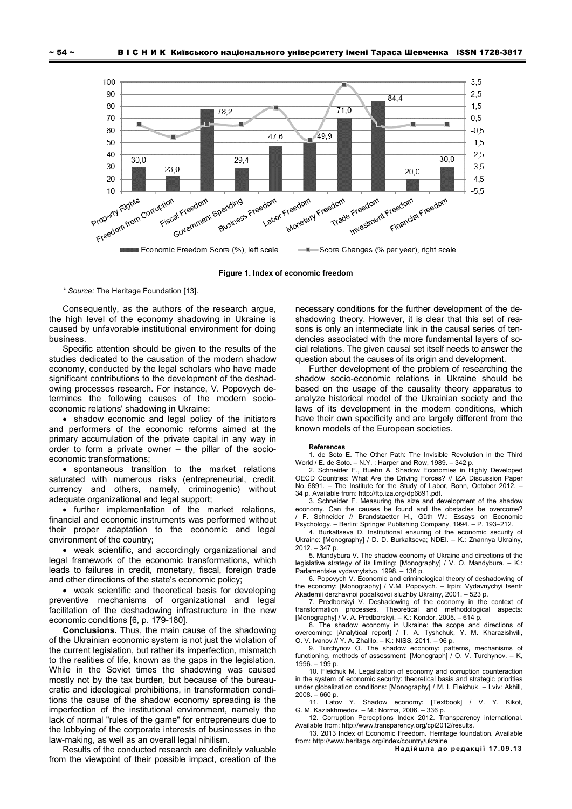

**Figure 1. Index of economic freedom** 

*\* Source:* The Heritage Foundation [13].

Consequently, as the authors of the research argue, the high level of the economy shadowing in Ukraine is caused by unfavorable institutional environment for doing business.

Specific attention should be given to the results of the studies dedicated to the causation of the modern shadow economy, conducted by the legal scholars who have made significant contributions to the development of the deshadowing processes research. For instance, V. Popovych determines the following causes of the modern socioeconomic relations' shadowing in Ukraine:

• shadow economic and legal policy of the initiators and performers of the economic reforms aimed at the primary accumulation of the private capital in any way in order to form a private owner – the pillar of the socioeconomic transformations;

• spontaneous transition to the market relations saturated with numerous risks (entrepreneurial, credit, currency and others, namely, criminogenic) without adequate organizational and legal support;

• further implementation of the market relations, financial and economic instruments was performed without their proper adaptation to the economic and legal environment of the country;

• weak scientific, and accordingly organizational and legal framework of the economic transformations, which leads to failures in credit, monetary, fiscal, foreign trade and other directions of the state's economic policy;

• weak scientific and theoretical basis for developing preventive mechanisms of organizational and legal facilitation of the deshadowing infrastructure in the new economic conditions [6, p. 179-180].

**Conclusions.** Thus, the main cause of the shadowing of the Ukrainian economic system is not just the violation of the current legislation, but rather its imperfection, mismatch to the realities of life, known as the gaps in the legislation. While in the Soviet times the shadowing was caused mostly not by the tax burden, but because of the bureaucratic and ideological prohibitions, in transformation conditions the cause of the shadow economy spreading is the imperfection of the institutional environment, namely the lack of normal "rules of the game" for entrepreneurs due to the lobbying of the corporate interests of businesses in the law-making, as well as an overall legal nihilism.

Results of the conducted research are definitely valuable from the viewpoint of their possible impact, creation of the necessary conditions for the further development of the deshadowing theory. However, it is clear that this set of reasons is only an intermediate link in the causal series of tendencies associated with the more fundamental layers of social relations. The given causal set itself needs to answer the question about the causes of its origin and development.

Further development of the problem of researching the shadow socio-economic relations in Ukraine should be based on the usage of the causality theory apparatus to analyze historical model of the Ukrainian society and the laws of its development in the modern conditions, which have their own specificity and are largely different from the known models of the European societies.

### **References**

1. de Soto E. The Other Path: The Invisible Revolution in the Third World / E. de Soto. – N.Y. : Harper and Row, 1989. – 342 p.

2. Schneider F., Buehn A. Shadow Economies in Highly Developed OECD Countries: What Are the Driving Forces? // IZA Discussion Paper No. 6891. – The Institute for the Study of Labor, Bonn, October 2012. – 34 p. Available from: http://ftp.iza.org/dp6891.pdf.

3. Schneider F. Measuring the size and development of the shadow economy. Can the causes be found and the obstacles be overcome? / F. Schneider // Brandstaetter H., Güth W.: Essays on Economic Psychology. – Berlin: Springer Publishing Company, 1994. – P. 193–212.

4. Burkaltseva D. Institutional ensuring of the economic security of Ukraine: [Monography] / D. D. Burkaltseva; NDEI. – K.: Znannya Ukrainy, 2012. – 347 p.

5. Mandybura V. The shadow economy of Ukraine and directions of the legislative strategy of its limiting: [Monography] / V. O. Mandybura. – K.: Parlamentske vydavnytstvo, 1998. – 136 p.

6. Popovych V. Economic and criminological theory of deshadowing of the economy: [Monography] / V.M. Popovych. – Irpin: Vydavnychyi tsentr Akademii derzhavnoi podatkovoi sluzhby Ukrainy, 2001. – 523 p.

7. Predborskyi V. Deshadowing of the economy in the context of transformation processes. Theoretical and methodological aspects: [Monography] / V. A. Predborskyi. – K.: Kondor, 2005. – 614 p.

8. The shadow economy in Ukraine: the scope and directions of overcoming: [Analytical report] / T. A. Tyshchuk, Y. M. Kharazishvili, O. V. Ivanov // Y. A. Zhalilo. – K.: NISS, 2011. – 96 p.

9. Turchynov O. The shadow economy: patterns, mechanisms of functioning, methods of assessment: [Monograph] / O. V. Turchynov. – K, 1996. – 199 p.

10. Fleichuk M. Legalization of economy and corruption counteraction in the system of economic security: theoretical basis and strategic priorities under globalization conditions: [Monography] / M. I. Fleichuk. – Lviv: Akhill, 2008. – 660 p.

11. Latov Y. Shadow economy: [Textbook] / V. Y. Kikot, G. M. Kaziakhmedov. – M.: Norma, 2006. – 336 p.

12. Corruption Perceptions Index 2012. Transparency international. Available from: http://www.transparency.org/cpi2012/results.

13. 2013 Index of Economic Freedom. Herritage foundation. Available from: http://www.heritage.org/index/country/ukraine

Надійшла до редакції 17.09.13